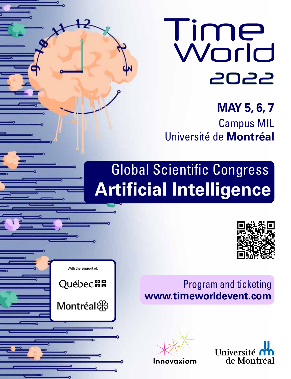

**MAY 5, 6, 7** Campus MIL Université de **Montréal**

# Global Scientific Congress **Artificial Intelligence**



# Program and ticketing **www.timeworldevent.com**





With the support of:

**Québec ##** 

Montréal &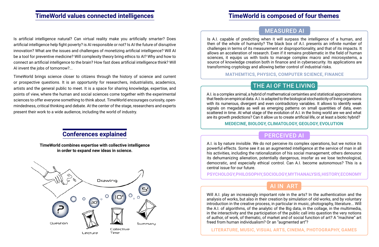## **TimeWorld is composed of four themes**

## AI IN ART

Will A.I. play an increasingly important role in the arts? In the authentication and the analysis of works, but also in their creation by simulation of old works, and by voluntary introduction in the creative process, in particular in music, photography, literature... Will the A.I. of algorithms, of the analytic of the Big data, in the collage, in the multimedia, in the interactivity and the participation of the public call into question the very notions of author, of work, of thematic, of market and of social function of art? A "machine" art freed from human individualism? Or an "augmented art"?

**LITERATURE, MUSIC, VISUAL ARTS, CINEMA, PHOTOGRAPHY, GAMES**

### THE AI OF THE LIVING

A.I. is a complex animal, a hybrid of mathematical certainties and statistical approximations that feeds on empirical data. A.I. is adapted to the biological stochasticity of living organisms with its numerous, divergent and even contradictory variables. It allows to identify weak signals on megadata as well as emerging patterns on small quantities of data, even scattered in time. At what stage of the evolution of A.I. in the living world are we and what are its growth predictions? Can it allow us to create artificial life, or at least a biotic hybrid?

**MEDECINE, BIOLOGY, CLIMATOLOGY, GEOLOGY, EVOLUTION**

### MEASURED AI

Is A.I. capable of predicting when it will surpass the intelligence of a human, and then of the whole of humanity? The black box of A.I. presents an infinite number of challenges in terms of its measurement or disproportionality, and that of its impacts. It allows an acceleration of research. Even if it remains problematic in the field of human sciences, it equips us with tools to manage complex macro and microsystems, a source of knowledge creation both in finance and in cybersecurity. Its applications are transforming cryptology and allowing better control of industrial risks.

**MATHEMTICS, PHYSICS, COMPUTER SCIENCE, FINANCE**

### PERCEIVED AI

A.I. is by nature invisible. We do not perceive its complex operations, but we notice its powerful effects. Some see it as an augmented intelligence at the service of man in all his activities, including the rationalization of his social management; others denounce its dehumanizing alienation, potentially dangerous, insofar as we lose technological, democratic, and especially ethical control. Can A.I. become autonomous? This is a central issue for our future.

#### **PSYCHOLOGY, PHILOSOPHY, SOCIOLOGY, MYTHANALYSIS, HISTORY, ECONOMY**

Is artificial intelligence natural? Can virtual reality make you artificially smarter? Does artificial intelligence help fight poverty? is AI responsible or not? Is AI the future of disruptive innovation? What are the issues and challenges of monetizing artificial intelligence? Will AI be a tool for preventive medicine? Will complexity theory bring ethics to AI? Why and how to connect an artificial intelligence to the brain? How fast does artificial intelligence think? Will AI invent the jobs of tomorrow?...

TimeWorld brings science closer to citizens through the history of science and current or prospective questions. It is an opportunity for researchers, industrialists, academics, artists and the general public to meet. It is a space for sharing knowledge, expertise, and points of view, where the human and social sciences come together with the experimental sciences to offer everyone something to think about. TimeWorld encourages curiosity, openmindedness, critical thinking and debate. At the center of the stage, researchers and experts present their work to a wide audience, including the world of industry.

> **TimeWorld combines expertise with collective intelligence in order to expand new ideas in science.**



### **TimeWorld values connected intelligences**

#### **Conferences explained**